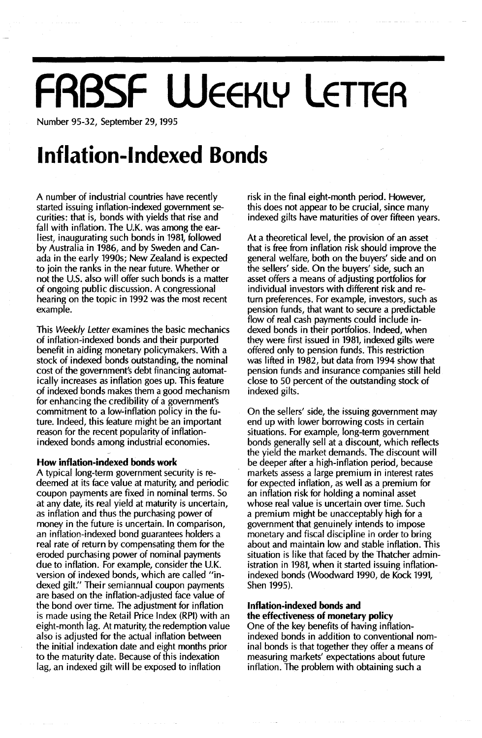## **FRBSF WEEKLY LETTER**

Number 95-32, September 29, 1995

## **Inflation-Indexed Bonds**

A number of industrial countries have recently started issuing inflation-indexed government securities: that is, bonds with yields that rise and fall with inflation. The U.K. was among the earliest, inaugurating such bonds in 1981, followed by Australia in 1986, and by Sweden and Canada in the early 1990s; New Zealand is expected to join the ranks in the near future. Whether or not the US. also will offer such bonds is a matter of ongoing public discussion. A congressional hearing on the topic in 1992 was the most recent example.

This Weekly Letter examines the basic mechanics of inflation-indexed bonds and their purported benefit in aiding monetary policymakers. With a stock of indexed bonds outstanding, the nominal cost of the government's debt financing automatically increases as inflation goes up. This feature of indexed bonds makes them a good mechanism for enhancing the credibility of a government's commitment to a low-inflation policy in the future. Indeed, this feature might be an important reason for the recent popularity of inflationindexed bonds among industrial economies.

#### How inflation-indexed bonds work

A typical long-term government security is redeemed at its face value at maturity, and periodic coupon payments are fixed in nominal terms. So at any date, its real yield at maturity is uncertain, as inflation and thus the purchasing power of money in the future is uncertain. In comparison, an inflation-indexed bond guarantees holders a real rate of return by compensating them for the eroded purchasing power of nominal payments due to inflation. For example, consider the UK. version of indexed bonds, which are called "indexed gilt." Their semiannual coupon payments are based on the inflation-adjusted face value of the bond over time. The adjustment for inflation is made using the Retail Price Index (RPI) with an eight-month lag. At maturity, the redemption value also is adjusted for the actual inflation between the initial indexation date and eight months prior to the maturity date. Because of this indexation lag, an indexed gilt will be exposed to inflation

risk in the final eight-month period. However, this does not appear to be crucial, since many indexed gilts have maturities of over fifteen years.

At a theoretical level, the provision of an asset that is free from inflation risk should improve the general welfare, both on the buyers' side and on the sellers' side. On the buyers' side, such an asset offers a means of adjusting portfolios for individual investors with different risk and return preferences. For example, investors, such as pension funds, that want to secure a predictable flow of real cash payments could include indexed bonds in their portfolios. Indeed, when they were first issued in 1981, indexed gilts were offered only to pension funds. This restriction was lifted in 1982, but data from 1994 show that pension funds and insurance companies still held close to 50 percent of the outstanding stock of indexed gilts.

On the sellers' side, the issuing government may end up with lower borrowing costs in certain situations. For example, long-term government bonds generally sell at a discount, which reflects the yield the market demands. The discount will be deeper after a high-inflation period, because markets assess a large premium in interest rates for expected inflation, as well as a premium for an inflation risk for holding a nominal asset whose real value is uncertain over time. Such a premium might be unacceptably high for a government that genuinely intends to impose monetary and fiscal discipline in order to bring about and maintain low and stable inflation. This situation is like that faced by the Thatcher administration in 1981, when it started issuing inflationindexed bonds (Woodward 1990, de Kock 1991, Shen 1995).

#### Inflation-indexed bonds and the effectiveness of monetary policy

One of the key benefits of having inflationindexed bonds in addition to conventional nominal bonds is that together they offer a means of measuring markets' expectations about future inflation. The problem with obtaining such a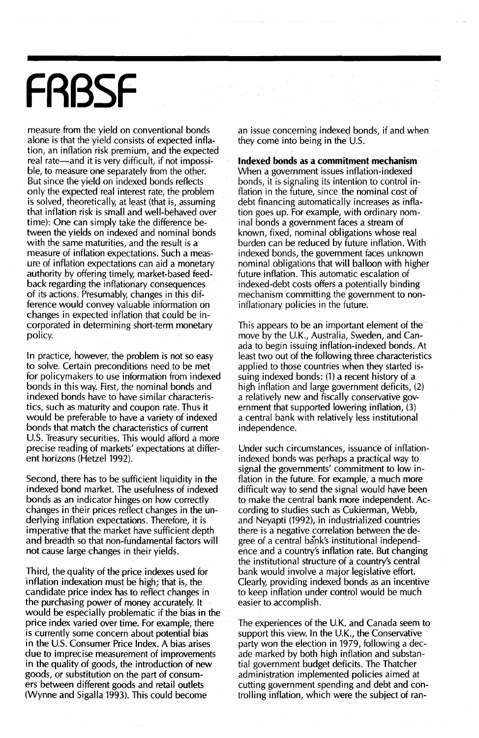# **FRBSF**

measure from the yield on conventional bonds alone is that the yield consists of expected inflation, an inflation risk premium, and the expected real rate—and it is very difficult, if not impossible, to measure one separately from the other. But since the yield on indexed bonds reflects only the expected real interest rate, the problem is solved, theoretically, at least (that is, assuming that inflation risk is small and well-behaved over time): One can simply take the difference between the yields on indexed and nominal bonds with the same maturities, and the result is a measure of inflation expectations. Such a measure of inflation expectations can aid a monetary authority by offering timely, market-based feedback regarding the inflationary consequences of its actions. Presumably, changes in this difference would convey valuable information on changes in expected inflation that could be incorporated in determining short-term monetary policy.

In practice, however, the problem is not so easy to solve. Certain preconditions need to be met for policymakers to use information from indexed bonds in this way. First, the nominal bonds and indexed bonds have to have similar characteristics, such as maturity and coupon rate. Thus it would be preferable to have a variety of indexed bonds that match the characteristics of current U.S. Treasury securities. This would afford a more precise reading of markets' expectations at different horizons (Hetzel 1992).

Second, there has to be sufficient liquidity in the indexed bond market. The usefulness of indexed bonds as an indicator hinges on how correctly changes in their prices reflect changes in the underlying inflation expectations. Therefore, it is imperative that the market have sufficient depth and breadth so that non-fundamental factors will not cause large changes in their yields.

Third, the quality of the price indexes used for inflation indexation must be high; that is, the candidate price index has to reflect changes in the purchasing power of money accurately. It would be especially problematic if the bias in the price index varied over time. For example, there is currently some concern about potential bias in the U.S. Consumer Price Index. A bias arises due to imprecise measurement of improvements in the quality of goods, the introduction of new goods, or substitution on the part of consumers between different goods and retail outlets (Wynne and Sigalla 1993). This could become

an issue concerning indexed bonds, if and when they come into being in the U.S.

**Indexed bonds** as a **commitment mechanism** When a government issues inflation-indexed bonds, it is signaling its intention to control inflation in the future, since the nominal cost of debt financing automatically increases as inflation goes up. For example, with ordinary nominal bonds a government faces a stream of known, fixed, nominal obligations whose real burden can be reduced by future inflation. With indexed bonds, the government faces unknown nominal obligations that will balloon with higher future inflation. This automatic escalation of indexed-debt costs offers a potentially binding mechanism committing the government to noninflationary policies in the future.

This appears to be an important element of the move by the U.K., Australia, Sweden, and Canada to begin issuing inflation-indexed bonds. At least two out of the following three characteristics applied to those countries when they started issuing indexed bonds: (1) a recent history of a high inflation and large government deficits, (2) a relatively new and fiscally conservative government that supported lowering inflation, (3) a central bank with relatively less institutional independence.

Under such circumstances, issuance of inflationindexed bonds was perhaps a practical way to signal the governments' commitment to low inflation in the future. For example, a much more difficult way to send the signal would have been to make the central bank more independent. According to studies such as Cukierman, Webb, and Neyapti (1992), in industrialized countries there is a negative correlation between the degree of a central bank's institutional independence and a country's inflation rate. But changing the institutional structure of a country's central bank would involve a major legislative effort. Clearly, providing indexed bonds as an incentive to keep inflation under control would be much easier to accomplish.

The experiences of the U.K. and Canada seem to support this view. In the U.K., the Conservative party won the election in 1979, following a decade marked by both high inflation and substantial government budget deficits. The Thatcher administration implemented policies aimed at cutting government spending and debt and controlling inflation, which were the subject of ran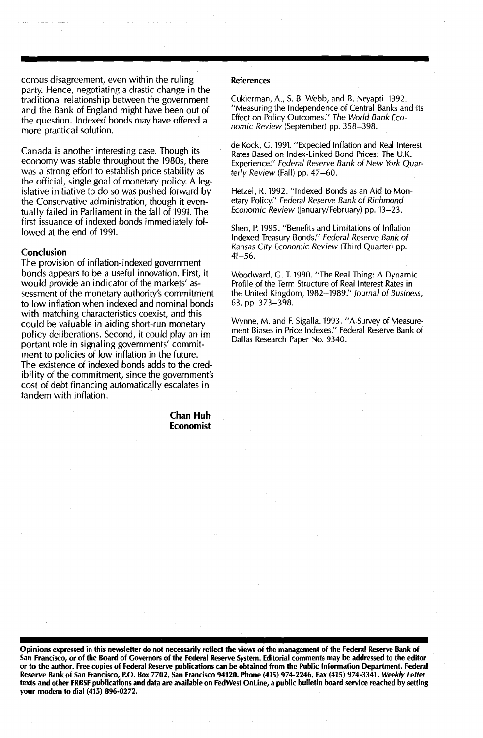corous disagreement, even within the ruling party. Hence, negotiating a drastic change in the traditional relationship between the government and the Bank of England might have been out of the question. Indexed bonds may have offered a more practical solution.

Canada is another interesting case. Though its economy was stable throughout the 1980s, there was a strong effort to establish price stability as the official, single goal of monetary policy. A legislative initiative to do so was pushed forward by the Conservative administration, though it eventually failed in Parliament in the fall of 1991. The first issuance of indexed bonds immediately followed at the end of 1991.

#### **Conclusion**

The provision of inflation-indexed government bonds appears to be a useful innovation. First, it would provide an indicator of the markets' assessment of the monetary authority's commitment to low inflation when indexed and nominal bonds with matching characteristics coexist, and this could be valuable in aiding short-run monetary policy deliberations. Second, it could play an important role in signaling governments' commitment to policies of low inflation in the future. The existence of indexed bonds adds to the credibility of the commitment, since the government's cost of debt financing automatically escalates in tandem with inflation.

> **Chan Huh Economist**

#### References

Cukierman, A., S. B. Webb, and B. Neyapti. 1992. "Measuring the Independence of Central Banks and Its Effect on Policy Outcomes:' The World Bank Economic Review (September) pp. 358-398.

de Kock, G. 1991. "Expected Inflation and Real Interest Rates Based on Index-Linked Bond Prices: The U.K. Experience:' Federal Reserve Bank of New York Quarterly Review (Fall) pp. 47-60.

Hetzel, R. 1992. "Indexed Bonds as an Aid to Monetary Policy." Federal Reserve Bank of Richmond Economic Review (January/February) pp. 13-23.

Shen, P. 1995. "Benefits and Limitations of Inflation Indexed Treasury Bonds:' Federal Reserve Bank of Kansas City Economic Review (Third Quarter) pp. 41-56.

Woodward, G. T. 1990. "The Real Thing: A Dynamic Profile of the Term Structure of Real Interest Rates in the United Kingdom, 1982-1989:' Journal of Business, 63, pp. 373-398.

Wynne, M. and F. Sigalla. 1993. "A Survey of Measurement Biases in Price Indexes:' Federal Reserve Bank of Dallas Research Paper No. 9340.

Opinions expressed in this newsletter do not necessarily reflect the views of the management of the Federal Reserve Bank of San Francisco, or of the Board of Governors of the Federal Reserve System. Editorial comments may be addressed to the editor or to the author. Free copies of Federal Reserve publications can be obtained from the Public Information Department, Federal Reserve Bank of San Francisco, P.O. Box 7702, San Francisco 94120. Phone (415) 974-2246, Fax (415) 974-3341. *Weekly Letter* texts and other FRBSF publications and data are available on FedWest Online, a public bulletin board service reached by setting your modem to dial (415) 896-0272.